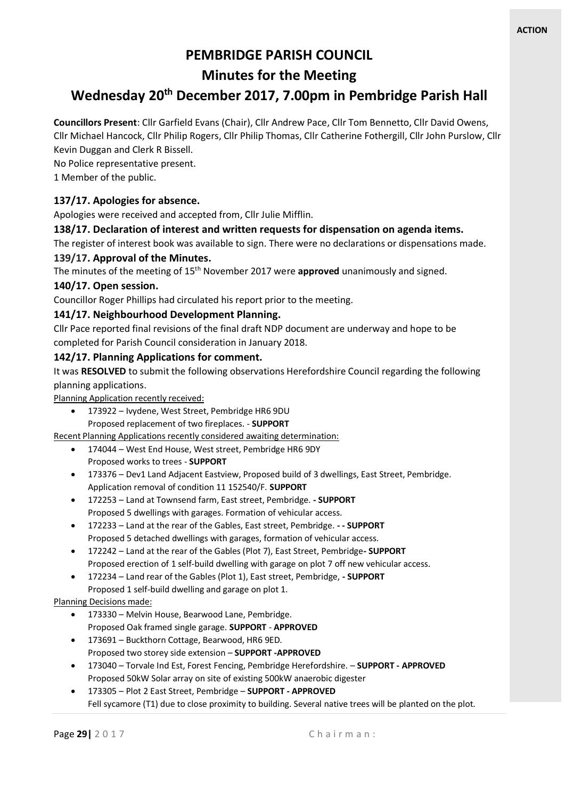# **PEMBRIDGE PARISH COUNCIL**

**Minutes for the Meeting**

## **Wednesday 20th December 2017, 7.00pm in Pembridge Parish Hall**

**Councillors Present**: Cllr Garfield Evans (Chair), Cllr Andrew Pace, Cllr Tom Bennetto, Cllr David Owens, Cllr Michael Hancock, Cllr Philip Rogers, Cllr Philip Thomas, Cllr Catherine Fothergill, Cllr John Purslow, Cllr Kevin Duggan and Clerk R Bissell.

No Police representative present.

1 Member of the public.

## **137/17. Apologies for absence.**

Apologies were received and accepted from, Cllr Julie Mifflin.

#### **138/17. Declaration of interest and written requests for dispensation on agenda items.**

The register of interest book was available to sign. There were no declarations or dispensations made.

#### **139/17. Approval of the Minutes.**

The minutes of the meeting of 15th November 2017 were **approved** unanimously and signed.

#### **140/17. Open session.**

Councillor Roger Phillips had circulated his report prior to the meeting.

#### **141/17. Neighbourhood Development Planning.**

Cllr Pace reported final revisions of the final draft NDP document are underway and hope to be completed for Parish Council consideration in January 2018.

#### **142/17. Planning Applications for comment.**

It was **RESOLVED** to submit the following observations Herefordshire Council regarding the following planning applications.

Planning Application recently received:

• 173922 – Ivydene, West Street, Pembridge HR6 9DU Proposed replacement of two fireplaces. - **SUPPORT**

Recent Planning Applications recently considered awaiting determination:

- 174044 West End House, West street, Pembridge HR6 9DY Proposed works to trees - **SUPPORT**
- 173376 Dev1 Land Adjacent Eastview, Proposed build of 3 dwellings, East Street, Pembridge. Application removal of condition 11 152540/F. **SUPPORT**
- 172253 Land at Townsend farm, East street, Pembridge. **- SUPPORT** Proposed 5 dwellings with garages. Formation of vehicular access.
- 172233 Land at the rear of the Gables, East street, Pembridge. **- - SUPPORT** Proposed 5 detached dwellings with garages, formation of vehicular access.
- 172242 Land at the rear of the Gables (Plot 7), East Street, Pembridge**- SUPPORT** Proposed erection of 1 self-build dwelling with garage on plot 7 off new vehicular access.
- 172234 Land rear of the Gables (Plot 1), East street, Pembridge, **- SUPPORT** Proposed 1 self-build dwelling and garage on plot 1.

#### Planning Decisions made:

- 173330 Melvin House, Bearwood Lane, Pembridge. Proposed Oak framed single garage. **SUPPORT** - **APPROVED**
- 173691 Buckthorn Cottage, Bearwood, HR6 9ED. Proposed two storey side extension – **SUPPORT -APPROVED**
- 173040 Torvale Ind Est, Forest Fencing, Pembridge Herefordshire. **SUPPORT - APPROVED** Proposed 50kW Solar array on site of existing 500kW anaerobic digester
- 173305 Plot 2 East Street, Pembridge **SUPPORT - APPROVED** Fell sycamore (T1) due to close proximity to building. Several native trees will be planted on the plot.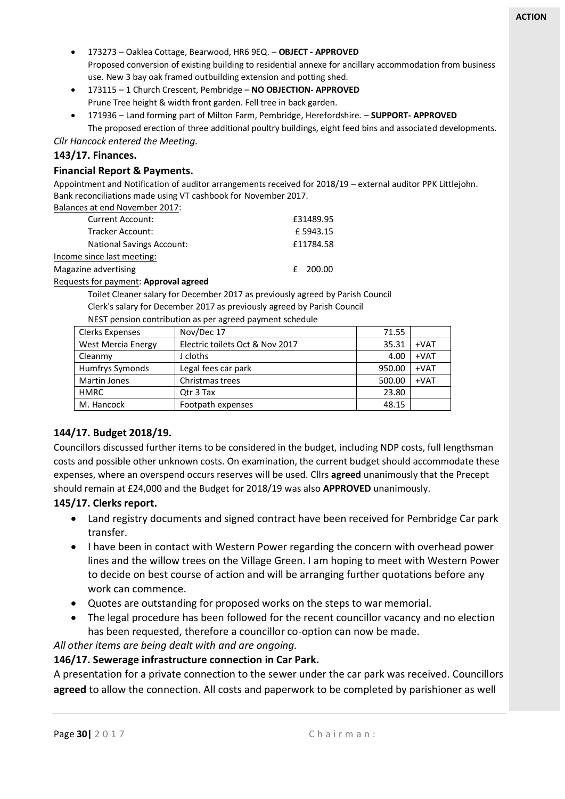- 173273 Oaklea Cottage, Bearwood, HR6 9EQ. **OBJECT - APPROVED** Proposed conversion of existing building to residential annexe for ancillary accommodation from business use. New 3 bay oak framed outbuilding extension and potting shed.
- 173115 1 Church Crescent, Pembridge **NO OBJECTION- APPROVED** Prune Tree height & width front garden. Fell tree in back garden.
- 171936 Land forming part of Milton Farm, Pembridge, Herefordshire. **SUPPORT- APPROVED** The proposed erection of three additional poultry buildings, eight feed bins and associated developments.

*Cllr Hancock entered the Meeting.*

#### **143/17. Finances.**

#### **Financial Report & Payments.**

Appointment and Notification of auditor arrangements received for 2018/19 – external auditor PPK Littlejohn. Bank reconciliations made using VT cashbook for November 2017.

Balances at end November 2017:

| <b>Current Account:</b>               | £31489.95  |  |
|---------------------------------------|------------|--|
| Tracker Account:                      | £5943.15   |  |
| <b>National Savings Account:</b>      | £11784.58  |  |
| Income since last meeting:            |            |  |
| Magazine advertising                  | $£$ 200.00 |  |
| Requests for payment: Approval agreed |            |  |

Toilet Cleaner salary for December 2017 as previously agreed by Parish Council

Clerk's salary for December 2017 as previously agreed by Parish Council

NEST pension contribution as per agreed payment schedule

| Clerks Expenses           | Nov/Dec 17                      | 71.55  |        |
|---------------------------|---------------------------------|--------|--------|
| <b>West Mercia Energy</b> | Electric toilets Oct & Nov 2017 | 35.31  | $+VAT$ |
| Cleanmy                   | J cloths                        | 4.00   | $+VAT$ |
| Humfrys Symonds           | Legal fees car park             | 950.00 | $+VAT$ |
| Martin Jones              | Christmas trees                 | 500.00 | $+VAT$ |
| <b>HMRC</b>               | Qtr 3 Tax                       | 23.80  |        |
| M. Hancock                | Footpath expenses               | 48.15  |        |

#### **144/17. Budget 2018/19.**

Councillors discussed further items to be considered in the budget, including NDP costs, full lengthsman costs and possible other unknown costs. On examination, the current budget should accommodate these expenses, where an overspend occurs reserves will be used. Cllrs **agreed** unanimously that the Precept should remain at £24,000 and the Budget for 2018/19 was also **APPROVED** unanimously.

#### **145/17. Clerks report.**

- Land registry documents and signed contract have been received for Pembridge Car park transfer.
- I have been in contact with Western Power regarding the concern with overhead power lines and the willow trees on the Village Green. I am hoping to meet with Western Power to decide on best course of action and will be arranging further quotations before any work can commence.
- Quotes are outstanding for proposed works on the steps to war memorial.
- The legal procedure has been followed for the recent councillor vacancy and no election has been requested, therefore a councillor co-option can now be made.

*All other items are being dealt with and are ongoing.*

#### **146/17. Sewerage infrastructure connection in Car Park.**

A presentation for a private connection to the sewer under the car park was received. Councillors **agreed** to allow the connection. All costs and paperwork to be completed by parishioner as well